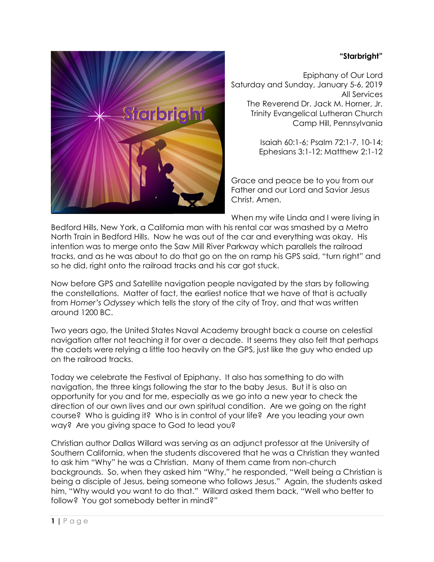## **"Starbright"**



Epiphany of Our Lord Saturday and Sunday, January 5-6, 2019 All Services The Reverend Dr. Jack M. Horner, Jr. Trinity Evangelical Lutheran Church Camp Hill, Pennsylvania

> Isaiah 60:1-6; Psalm 72:1-7, 10-14; Ephesians 3:1-12; Matthew 2:1-12

Grace and peace be to you from our Father and our Lord and Savior Jesus Christ. Amen.

When my wife Linda and I were living in

Bedford Hills, New York, a California man with his rental car was smashed by a Metro North Train in Bedford Hills. Now he was out of the car and everything was okay. His intention was to merge onto the Saw Mill River Parkway which parallels the railroad tracks, and as he was about to do that go on the on ramp his GPS said, "turn right" and so he did, right onto the railroad tracks and his car got stuck.

Now before GPS and Satellite navigation people navigated by the stars by following the constellations. Matter of fact, the earliest notice that we have of that is actually from *Homer's Odyssey* which tells the story of the city of Troy, and that was written around 1200 BC.

Two years ago, the United States Naval Academy brought back a course on celestial navigation after not teaching it for over a decade. It seems they also felt that perhaps the cadets were relying a little too heavily on the GPS, just like the guy who ended up on the railroad tracks.

Today we celebrate the Festival of Epiphany. It also has something to do with navigation, the three kings following the star to the baby Jesus. But it is also an opportunity for you and for me, especially as we go into a new year to check the direction of our own lives and our own spiritual condition. Are we going on the right course? Who is guiding it? Who is in control of your life? Are you leading your own way? Are you giving space to God to lead you?

Christian author Dallas Willard was serving as an adjunct professor at the University of Southern California, when the students discovered that he was a Christian they wanted to ask him "Why" he was a Christian. Many of them came from non-church backgrounds. So, when they asked him "Why," he responded, "Well being a Christian is being a disciple of Jesus, being someone who follows Jesus." Again, the students asked him, "Why would you want to do that." Willard asked them back, "Well who better to follow? You got somebody better in mind?"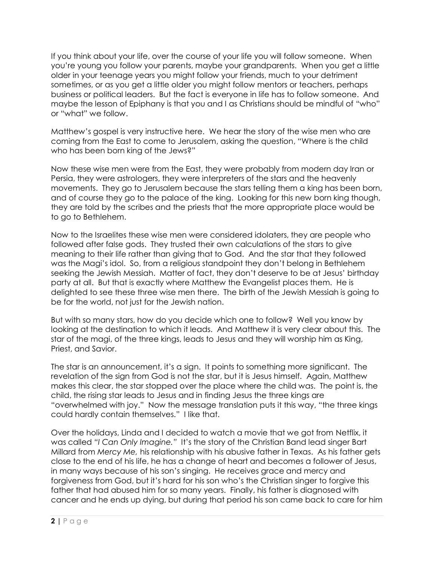If you think about your life, over the course of your life you will follow someone. When you're young you follow your parents, maybe your grandparents. When you get a little older in your teenage years you might follow your friends, much to your detriment sometimes, or as you get a little older you might follow mentors or teachers, perhaps business or political leaders. But the fact is everyone in life has to follow someone. And maybe the lesson of Epiphany is that you and I as Christians should be mindful of "who" or "what" we follow.

Matthew's gospel is very instructive here. We hear the story of the wise men who are coming from the East to come to Jerusalem, asking the question, "Where is the child who has been born king of the Jews?"

Now these wise men were from the East, they were probably from modern day Iran or Persia, they were astrologers, they were interpreters of the stars and the heavenly movements. They go to Jerusalem because the stars telling them a king has been born, and of course they go to the palace of the king. Looking for this new born king though, they are told by the scribes and the priests that the more appropriate place would be to go to Bethlehem.

Now to the Israelites these wise men were considered idolaters, they are people who followed after false gods. They trusted their own calculations of the stars to give meaning to their life rather than giving that to God. And the star that they followed was the Magi's idol. So, from a religious standpoint they don't belong in Bethlehem seeking the Jewish Messiah. Matter of fact, they don't deserve to be at Jesus' birthday party at all. But that is exactly where Matthew the Evangelist places them. He is delighted to see these three wise men there. The birth of the Jewish Messiah is going to be for the world, not just for the Jewish nation.

But with so many stars, how do you decide which one to follow? Well you know by looking at the destination to which it leads. And Matthew it is very clear about this. The star of the magi, of the three kings, leads to Jesus and they will worship him as King, Priest, and Savior.

The star is an announcement, it's a sign. It points to something more significant. The revelation of the sign from God is not the star, but it is Jesus himself. Again, Matthew makes this clear, the star stopped over the place where the child was. The point is, the child, the rising star leads to Jesus and in finding Jesus the three kings are "overwhelmed with joy." Now the message translation puts it this way, "the three kings could hardly contain themselves." I like that.

Over the holidays, Linda and I decided to watch a movie that we got from Netflix, it was called *"I Can Only Imagine."* It's the story of the Christian Band lead singer Bart Millard from *Mercy Me,* his relationship with his abusive father in Texas. As his father gets close to the end of his life, he has a change of heart and becomes a follower of Jesus, in many ways because of his son's singing. He receives grace and mercy and forgiveness from God, but it's hard for his son who's the Christian singer to forgive this father that had abused him for so many years. Finally, his father is diagnosed with cancer and he ends up dying, but during that period his son came back to care for him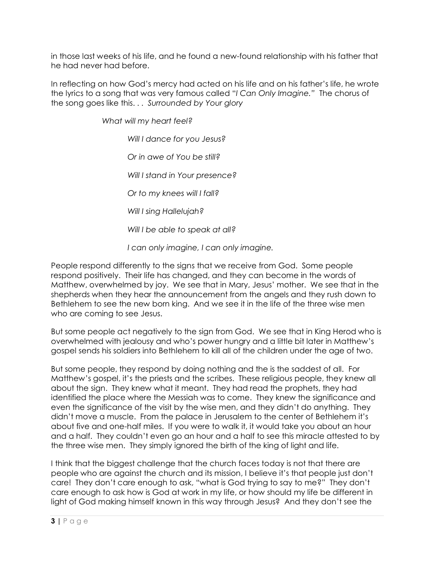in those last weeks of his life, and he found a new-found relationship with his father that he had never had before.

In reflecting on how God's mercy had acted on his life and on his father's life, he wrote the lyrics to a song that was very famous called "*I Can Only Imagine."* The chorus of the song goes like this. . . *Surrounded by Your glory*

 *What will my heart feel?*

*Will I dance for you Jesus?*

*Or in awe of You be still?*

*Will I stand in Your presence?*

*Or to my knees will I fall?*

*Will I sing Hallelujah?*

*Will I be able to speak at all?*

*I can only imagine, I can only imagine.*

People respond differently to the signs that we receive from God. Some people respond positively. Their life has changed, and they can become in the words of Matthew, overwhelmed by joy. We see that in Mary, Jesus' mother. We see that in the shepherds when they hear the announcement from the angels and they rush down to Bethlehem to see the new born king. And we see it in the life of the three wise men who are coming to see Jesus.

But some people act negatively to the sign from God. We see that in King Herod who is overwhelmed with jealousy and who's power hungry and a little bit later in Matthew's gospel sends his soldiers into Bethlehem to kill all of the children under the age of two.

But some people, they respond by doing nothing and the is the saddest of all. For Matthew's gospel, it's the priests and the scribes. These religious people, they knew all about the sign. They knew what it meant. They had read the prophets, they had identified the place where the Messiah was to come. They knew the significance and even the significance of the visit by the wise men, and they didn't do anything. They didn't move a muscle. From the palace in Jerusalem to the center of Bethlehem it's about five and one-half miles. If you were to walk it, it would take you about an hour and a half. They couldn't even go an hour and a half to see this miracle attested to by the three wise men. They simply ignored the birth of the king of light and life.

I think that the biggest challenge that the church faces today is not that there are people who are against the church and its mission, I believe it's that people just don't care! They don't care enough to ask, "what is God trying to say to me?" They don't care enough to ask how is God at work in my life, or how should my life be different in light of God making himself known in this way through Jesus? And they don't see the